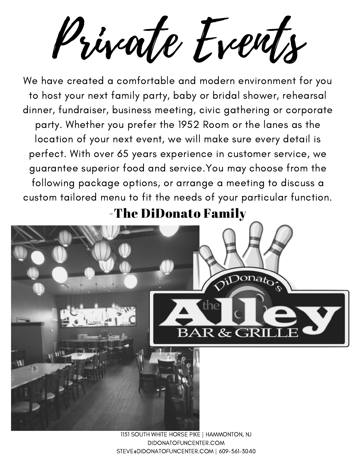Private Events

We have created a comfortable and modern environment for you to host your next family party, baby or bridal shower, rehearsal dinner, fundraiser, business meeting, civic gathering or corporate party. Whether you prefer the 1952 Room or the lanes as the location of your next event, we will make sure every detail is perfect. With over 65 years experience in customer service, we guarantee superior food and service.You may choose from the following package options, or arrange a meeting to discuss a custom tailored menu to fit the needs of your particular function.

-The DiDonato Family



1151 SOUTH WHITE HORSE PIKE | HAMMONTON, NJ DIDONATOFUNCENTER.COM STEVE@DIDONATOFUNCENTER.COM | 609-561-3040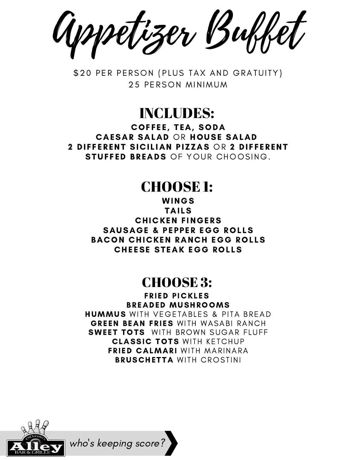Appetizer Buffet

\$20 PER PERSON (PLUS TAX AND GRATUITY) 25 PFRSON MINIMUM

INCLUDES:

COFFEE, TEA, SODA CAESAR SALAD OR HOUSE SALAD 2 DIFFERENT SICILIAN PIZZAS OR 2 DIFFERENT STUFFED BREADS OF YOUR CHOOSING.

## CHOOSE 1:

WINGS **TAILS CHICKEN FINGERS** SAUSAGE & PEPPER EGG ROLLS BACON CHICKEN RANCH EGG ROLLS CHEESE STEAK EGG ROLLS

## CHOOSE 3:

**FRIED PICKLES** BREADED MUSHROOMS **HUMMUS** WITH VEGETABLES & PITA BREAD **GREEN BEAN FRIES WITH WASABI RANCH SWEET TOTS** WITH BROWN SUGAR FILIFF **CLASSIC TOTS WITH KETCHUP** FRIED CALMARI WITH MARINARA **BRUSCHETTA WITH CROSTINI** 



who '

s keeping score?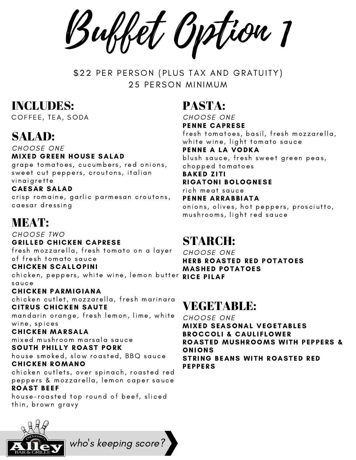Buffet Option 1

\$22 PER PERSON (PLUS TAX AND GRATUITY) 25 PFRSON MINIMUM

## INCLUDES:

COFFEE, TEA, SODA

## SALAD:

CHOOSE ONE **MIXED GREEN HOUSE SALAD** 

grape tomatoes, cucumbers, red onions, sweet cut peppers, croutons, italian vinaigrette

#### CAESAR SALAD

crisp romaine, garlic parmesan croutons, caesar dressing

## MEAT:

CHOOSE TWO **GRILLED CHICKEN CAPRESE** fresh mozzarella, fresh tomato on a layer

of fresh tomato sauce

**CHICKEN SCALLOPINI** 

chicken, peppers, white wine, lemon butter **RICE PILAF** sau ce

#### CHICKEN PARMIGIANA

chicken cutlet, mozzarella, fresh marinara CITRUS CHICKEN SAUTE

mandarin orange, fresh lemon, lime, white wine, spices

#### CHICKEN MARSALA

mi xed mu s h room mar sala sau ce SOUTH PHILLY ROAST PORK

house smoked, slow roasted, BBQ sauce CHICKEN ROMANO

chicken cutlets, over spinach, roasted red peppers & mozzarella, lemon caper sauce **ROAST BEEF** 

house-roasted top round of beef, sliced thin, brown gravy

who 's keeping score?

## PASTA:

CHOOSE ONE PENNE CAPRESE fresh tomatoes, basil, fresh mozzarella, white wine, light tomato sauce PENNE A LA VODKA blush sauce, fresh sweet green peas, c hopped tomatoes BAKED ZITI RIGATONI BOLOGNESE rich meat sauce PENNE ARRABBIATA

onions, olives, hot peppers, prosciutto, mushrooms, light red sauce

## STARCH:

CHOOSE ONE HERB ROASTED RED POTATOES MASHED POTATOES

## VEGETABLE:

CHOOSE ONE **MIXED SEASONAL VEGETABLES BROCCOLI & CAULIFLOWER** ROASTED MUSHROOMS WITH PEPPERS & **ONIONS** STRING BEANS WITH ROASTED RED **PEPPERS**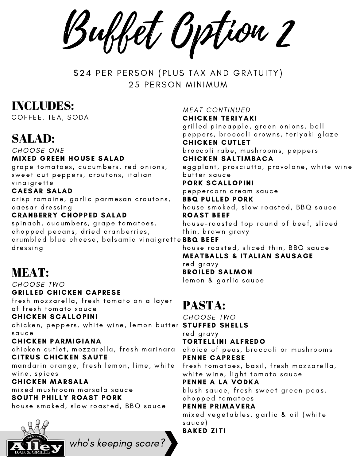Buffet Option 2

\$24 PER PERSON (PLUS TAX AND GRATUITY) 25 PFRSON MINIMUM

## INCLUDES:

COFFEE, TEA, SODA

## SALAD:

CHOOSE ONE **MIXED GREEN HOUSE SALAD** 

grape tomatoes, cucumbers, red onions, sweet cut peppers, croutons, italian vinaigrette

## CAESAR SALAD

crisp romaine, garlic parmesan croutons, caesar dressing

#### **CRANBERRY CHOPPED SALAD**

spinach, cucumbers, grape tomatoes, chopped pecans, dried cranberries, crumbled blue cheese, balsamic vinaigrette**BBQ BEEF** dressing

## MEAT:

CHOOSE TWO **GRILLED CHICKEN CAPRESE** fresh mozzarella, fresh tomato on a layer of fresh tomato sauce

**CHICKEN SCALLOPINI** 

chicken, peppers, white wine, lemon butter <code>STUFFED SHELLS</code> sau ce

CHICKEN PARMIGIANA chicken cutlet, mozzarella, fresh marinara CITRUS CHICKEN SAUTE mandarin orange, fresh lemon, lime, white wine, spices

CHICKEN MARSALA mi xed mu s h room mar sala sau ce SOUTH PHILLY ROAST PORK house smoked, slow roasted, BBQ sauce

who '

s keeping score?



**MEAT CONTINUED** 

CHICKEN TERIYAKI

grilled pineapple, green onions, bell peppers, broccoli crowns, teriyaki glaze **CHICKEN CUTLET** 

broccoli rabe, mushrooms, peppers CHICKEN SALTIMBACA

eggplant, prosciutto, provolone, white wine bu tter sau ce

#### PORK SCALLOPINI

peppercorn cream sauce

**BBQ PULLED PORK** house smoked, slow roasted, BBQ sauce **ROAST BEEF** 

house-roasted top round of beef, sliced thin, brown gravy

house roasted, sliced thin, BBQ sauce **MEATBALLS & ITALIAN SAUSAGE** red gravy **BROILED SALMON** lemon & garlic sauce

## PASTA:

CHOOSE TWO red gravy TORTELLINI ALFREDO choice of peas, broccoli or mushrooms PENNE CAPRESE fresh tomatoes, basil, fresh mozzarella, white wine, light tomato sauce PENNE A LA VODKA blush sauce, fresh sweet green peas, c hopped tomatoes PENNE PRIMAVERA mixed vegetables, garlic & oil (white sau ce) BAKED ZITI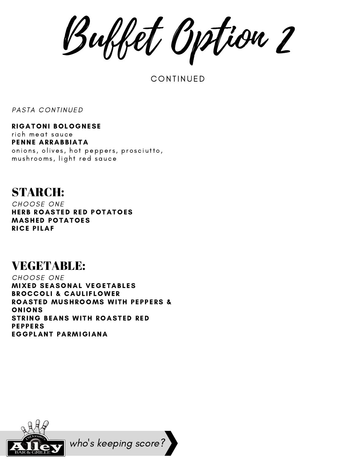Buffet Option 2

**CONTINUED** 

PASTA CONTINUED

RIGATONI BOLOGNESE rich meat sauce PENNE ARRABBIATA onions, olives, hot peppers, prosciutto, mushrooms, light red sauce

## STARCH:

CHOOSE ONE HERB ROASTED RED POTATOES MASHED POTATOES **RICE PILAF** 

## VEGETABLE:

CHOOSE ONE **MIXED SEASONAL VEGETABLES** BROCCOLI & CAULIFLOWER ROASTED MUSHROOMS WITH PEPPERS & ONIONS STRING BEANS WITH ROASTED RED **PEPPERS** EGGPLANT PARMIGIANA



who 's keeping score?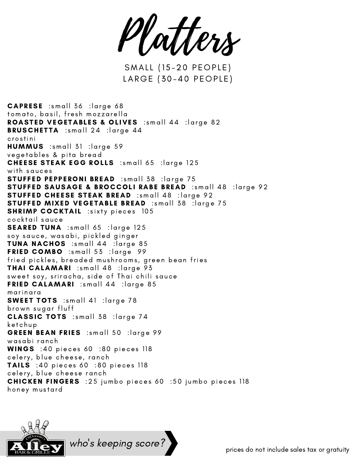Platters

SMALL (15-20 PEOPLE) LARGE (30-40 PEOPLE)

CAPRESE :small 36 :large 68 tomato, basil, fresh mozzarella ROASTED VEGETABLES & OLIVES :small 44 :large 82 **BRUSCHETTA** :small 24 : large 44 c ros ti n i  $HUMMUS$  :small 31 : large 59 vegetables & pita bread CHEESE STEAK EGG ROLLS :small 65 :large 125 with sauces STUFFED PEPPERONI BREAD :small 38 :large 75 STUFFED SAUSAGE & BROCCOLI RABE BREAD :small 48 :large 92 STUFFED CHEESE STEAK BREAD :small 48 :large 92 STUFFED MIXED VEGETABLE BREAD :small 38 :large 75 **SHRIMP COCKTAIL** : sixty pieces 105 cocktail sauce **SEARED TUNA** :small 65 :large 125 soy sauce, wasabi, pickled ginger TUNA NACHOS :small 44 :large 85 FRIED COMBO :small 53 :large 99 fried pickles, breaded mushrooms, green bean fries THAI CALAMARI :small 48 :large 93 sweet soy, sriracha, side of Thai chili sauce FRIED CALAMARI : small  $44$  : large 85 mari nara **SWEET TOTS** :small 41 :large 78 brown sugar fluff CLASSIC TOTS :small 38 :large 74 ket chup GREEN BEAN FRIES : small 50 : large 99 wasabi ranch WINGS :40 pieces 60 :80 pieces 118 celery, blue cheese, ranch **TAILS** :40 pieces 60 :80 pieces 118 celery, blue cheese ranch **CHICKEN FINGERS** :25 jumbo pieces 60 :50 jumbo pieces 118 honey mustard



who 's keeping score?